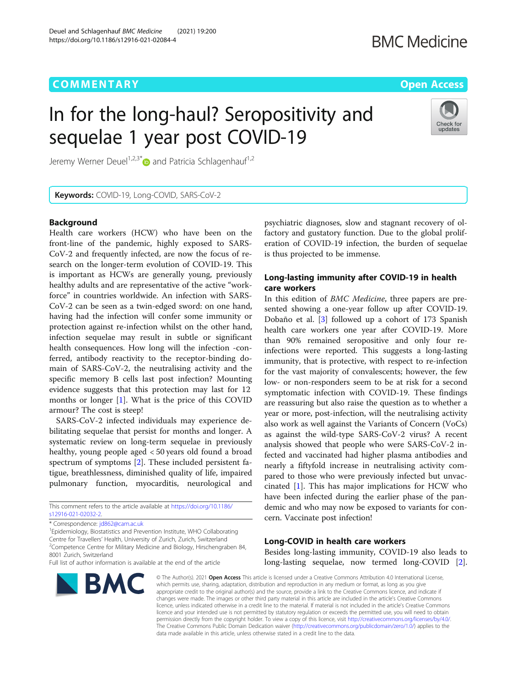# **COMMENTARY COMMENTARY COMMENTARY**

# In for the long-haul? Seropositivity and sequelae 1 year post COVID-19



Jeremy Werner Deuel<sup>1,2,3[\\*](http://orcid.org/0000-0002-5409-7712)</sup> $\bullet$  and Patricia Schlagenhauf<sup>1,2</sup>

Keywords: COVID-19, Long-COVID, SARS-CoV-2

### **Background**

Health care workers (HCW) who have been on the front-line of the pandemic, highly exposed to SARS-CoV-2 and frequently infected, are now the focus of research on the longer-term evolution of COVID-19. This is important as HCWs are generally young, previously healthy adults and are representative of the active "workforce" in countries worldwide. An infection with SARS-CoV-2 can be seen as a twin-edged sword: on one hand, having had the infection will confer some immunity or protection against re-infection whilst on the other hand, infection sequelae may result in subtle or significant health consequences. How long will the infection -conferred, antibody reactivity to the receptor-binding domain of SARS-CoV-2, the neutralising activity and the specific memory B cells last post infection? Mounting evidence suggests that this protection may last for 12 months or longer [[1\]](#page-1-0). What is the price of this COVID armour? The cost is steep!

SARS-CoV-2 infected individuals may experience debilitating sequelae that persist for months and longer. A systematic review on long-term sequelae in previously healthy, young people aged < 50 years old found a broad spectrum of symptoms [\[2](#page-1-0)]. These included persistent fatigue, breathlessness, diminished quality of life, impaired pulmonary function, myocarditis, neurological and

This comment refers to the article available at [https://doi.org/10.1186/](https://doi.org/10.1186/s12916-021-02032-2) [s12916-021-02032-2](https://doi.org/10.1186/s12916-021-02032-2).

\* Correspondence: [jd862@cam.ac.uk](mailto:jd862@cam.ac.uk) <sup>1</sup>

<sup>1</sup> Epidemiology, Biostatistics and Prevention Institute, WHO Collaborating Centre for Travellers' Health, University of Zurich, Zurich, Switzerland <sup>2</sup> <sup>2</sup> Competence Centre for Military Medicine and Biology, Hirschengraben 84, 8001 Zurich, Switzerland

Full list of author information is available at the end of the article



psychiatric diagnoses, slow and stagnant recovery of olfactory and gustatory function. Due to the global proliferation of COVID-19 infection, the burden of sequelae is thus projected to be immense.

# Long-lasting immunity after COVID-19 in health care workers

In this edition of BMC Medicine, three papers are presented showing a one-year follow up after COVID-19. Dobaño et al. [[3\]](#page-1-0) followed up a cohort of 173 Spanish health care workers one year after COVID-19. More than 90% remained seropositive and only four reinfections were reported. This suggests a long-lasting immunity, that is protective, with respect to re-infection for the vast majority of convalescents; however, the few low- or non-responders seem to be at risk for a second symptomatic infection with COVID-19. These findings are reassuring but also raise the question as to whether a year or more, post-infection, will the neutralising activity also work as well against the Variants of Concern (VoCs) as against the wild-type SARS-CoV-2 virus? A recent analysis showed that people who were SARS-CoV-2 infected and vaccinated had higher plasma antibodies and nearly a fiftyfold increase in neutralising activity compared to those who were previously infected but unvaccinated [[1](#page-1-0)]. This has major implications for HCW who have been infected during the earlier phase of the pandemic and who may now be exposed to variants for concern. Vaccinate post infection!

#### Long-COVID in health care workers

Besides long-lasting immunity, COVID-19 also leads to long-lasting sequelae, now termed long-COVID [\[2](#page-1-0)].

© The Author(s), 2021 **Open Access** This article is licensed under a Creative Commons Attribution 4.0 International License, which permits use, sharing, adaptation, distribution and reproduction in any medium or format, as long as you give appropriate credit to the original author(s) and the source, provide a link to the Creative Commons licence, and indicate if changes were made. The images or other third party material in this article are included in the article's Creative Commons licence, unless indicated otherwise in a credit line to the material. If material is not included in the article's Creative Commons licence and your intended use is not permitted by statutory regulation or exceeds the permitted use, you will need to obtain permission directly from the copyright holder. To view a copy of this licence, visit [http://creativecommons.org/licenses/by/4.0/.](http://creativecommons.org/licenses/by/4.0/) The Creative Commons Public Domain Dedication waiver [\(http://creativecommons.org/publicdomain/zero/1.0/](http://creativecommons.org/publicdomain/zero/1.0/)) applies to the data made available in this article, unless otherwise stated in a credit line to the data.